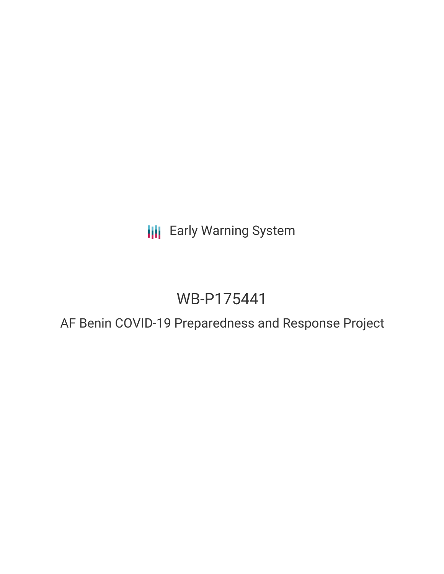**III** Early Warning System

# WB-P175441

AF Benin COVID-19 Preparedness and Response Project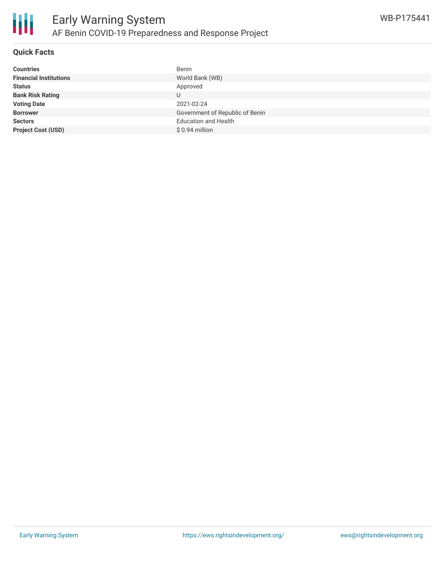

### **Quick Facts**

| <b>Financial Institutions</b><br>World Bank (WB)<br>Approved<br><b>Status</b><br>U | <b>Countries</b>        |
|------------------------------------------------------------------------------------|-------------------------|
|                                                                                    |                         |
|                                                                                    |                         |
|                                                                                    | <b>Bank Risk Rating</b> |
| <b>Voting Date</b><br>2021-02-24                                                   |                         |
| Government of Republic of Benin<br><b>Borrower</b>                                 |                         |
| <b>Education and Health</b><br><b>Sectors</b>                                      |                         |
| <b>Project Cost (USD)</b><br>$$0.94$ million                                       |                         |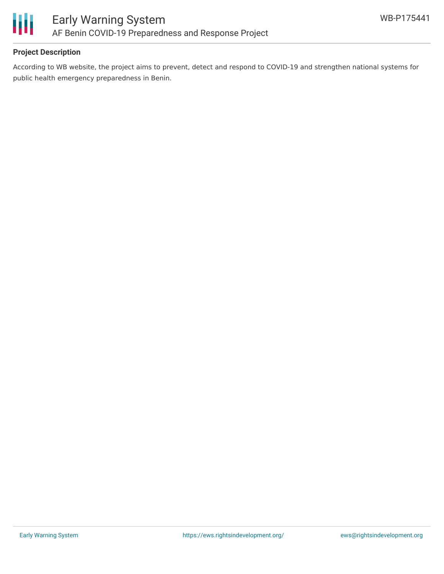

# **Project Description**

According to WB website, the project aims to prevent, detect and respond to COVID-19 and strengthen national systems for public health emergency preparedness in Benin.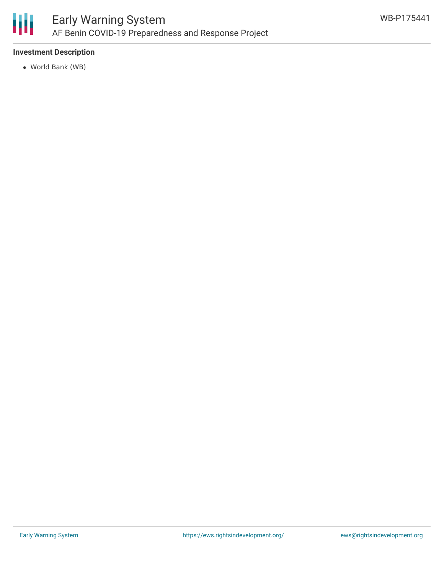

# **Investment Description**

World Bank (WB)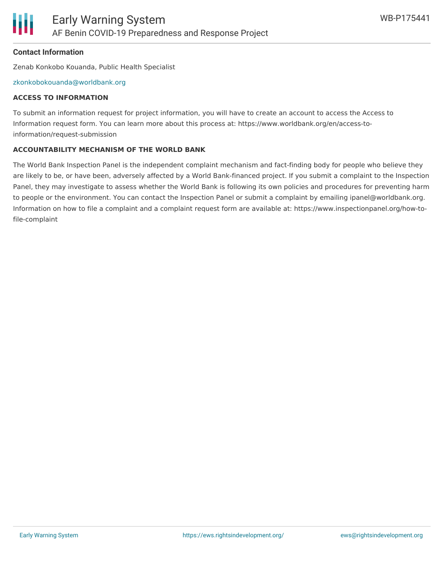

# **Contact Information**

Zenab Konkobo Kouanda, Public Health Specialist

#### [zkonkobokouanda@worldbank.org](mailto:zkonkobokouanda@worldbank.org)

#### **ACCESS TO INFORMATION**

To submit an information request for project information, you will have to create an account to access the Access to Information request form. You can learn more about this process at: https://www.worldbank.org/en/access-toinformation/request-submission

#### **ACCOUNTABILITY MECHANISM OF THE WORLD BANK**

The World Bank Inspection Panel is the independent complaint mechanism and fact-finding body for people who believe they are likely to be, or have been, adversely affected by a World Bank-financed project. If you submit a complaint to the Inspection Panel, they may investigate to assess whether the World Bank is following its own policies and procedures for preventing harm to people or the environment. You can contact the Inspection Panel or submit a complaint by emailing ipanel@worldbank.org. Information on how to file a complaint and a complaint request form are available at: https://www.inspectionpanel.org/how-tofile-complaint